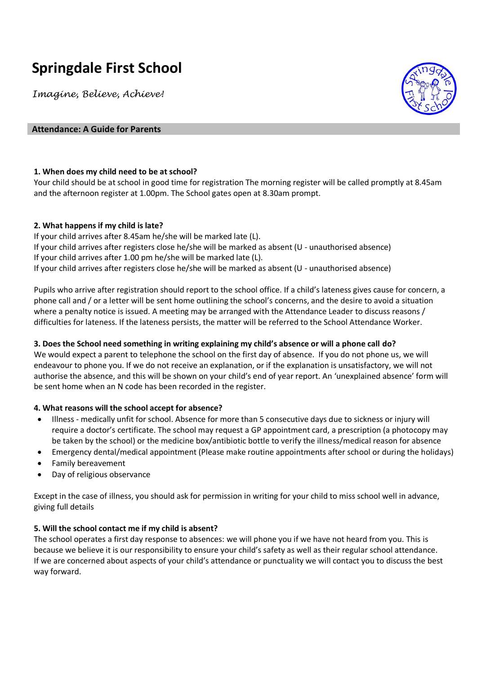# **Springdale First School**

*Imagine, Believe, Achieve!*



## **Attendance: A Guide for Parents**

# **1. When does my child need to be at school?**

Your child should be at school in good time for registration The morning register will be called promptly at 8.45am and the afternoon register at 1.00pm. The School gates open at 8.30am prompt.

#### **2. What happens if my child is late?**

If your child arrives after 8.45am he/she will be marked late (L). If your child arrives after registers close he/she will be marked as absent (U - unauthorised absence) If your child arrives after 1.00 pm he/she will be marked late (L). If your child arrives after registers close he/she will be marked as absent (U - unauthorised absence)

Pupils who arrive after registration should report to the school office. If a child's lateness gives cause for concern, a phone call and / or a letter will be sent home outlining the school's concerns, and the desire to avoid a situation where a penalty notice is issued. A meeting may be arranged with the Attendance Leader to discuss reasons / difficulties for lateness. If the lateness persists, the matter will be referred to the School Attendance Worker.

# **3. Does the School need something in writing explaining my child's absence or will a phone call do?**

We would expect a parent to telephone the school on the first day of absence. If you do not phone us, we will endeavour to phone you. If we do not receive an explanation, or if the explanation is unsatisfactory, we will not authorise the absence, and this will be shown on your child's end of year report. An 'unexplained absence' form will be sent home when an N code has been recorded in the register.

# **4. What reasons will the school accept for absence?**

- Illness medically unfit for school. Absence for more than 5 consecutive days due to sickness or injury will require a doctor's certificate. The school may request a GP appointment card, a prescription (a photocopy may be taken by the school) or the medicine box/antibiotic bottle to verify the illness/medical reason for absence
- Emergency dental/medical appointment (Please make routine appointments after school or during the holidays)
- Family bereavement
- Day of religious observance

Except in the case of illness, you should ask for permission in writing for your child to miss school well in advance, giving full details

# **5. Will the school contact me if my child is absent?**

The school operates a first day response to absences: we will phone you if we have not heard from you. This is because we believe it is our responsibility to ensure your child's safety as well as their regular school attendance. If we are concerned about aspects of your child's attendance or punctuality we will contact you to discuss the best way forward.